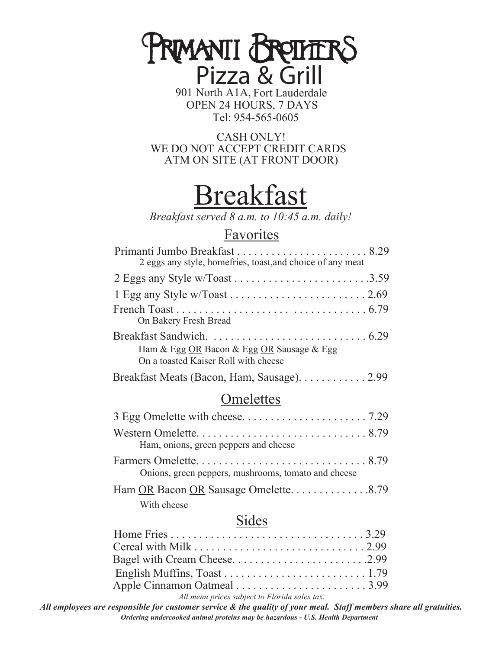# **PRMANII BREITERS**<br>Pizza & Grill

901 North A1A, Fort Lauderdale OPEN 24 HOURS, 7 DAYS Tel: 954-565-0605

CASH ONLY! WE DO NOT ACCEPT CREDIT CARDS ATM ON SITE (AT FRONT DOOR)

## Breakfast

*Breakfast served 8 a.m. to 10:45 a.m. daily!*

## Favorites

| 2 eggs any style, homefries, toast, and choice of any meat                        |  |
|-----------------------------------------------------------------------------------|--|
|                                                                                   |  |
|                                                                                   |  |
| On Bakery Fresh Bread                                                             |  |
| Ham & Egg OR Bacon & Egg OR Sausage & Egg<br>On a toasted Kaiser Roll with cheese |  |
| Breakfast Meats (Bacon, Ham, Sausage). 2.99                                       |  |
|                                                                                   |  |

## **Omelettes**

| Ham, onions, green peppers and cheese               |  |
|-----------------------------------------------------|--|
| Onions, green peppers, mushrooms, tomato and cheese |  |
| Ham OR Bacon OR Sausage Omelette8.79<br>With cheese |  |
|                                                     |  |

## Sides

| Bagel with Cream Cheese2.99 |  |
|-----------------------------|--|
|                             |  |
| Apple Cinnamon Oatmeal 3.99 |  |
|                             |  |

*All menu prices subject to Florida sales tax.*

*Ordering undercooked animal proteins may be hazardous - U.S. Health Department All employees are responsible for customer service & the quality of your meal. Staff members share all gratuities.*